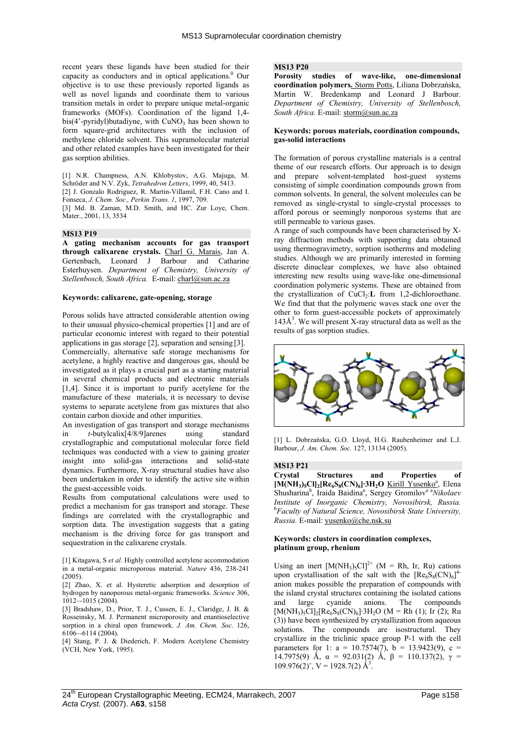recent years these ligands have been studied for their capacity as conductors and in optical applications.<sup>0</sup> Our objective is to use these previously reported ligands as well as novel ligands and coordinate them to various transition metals in order to prepare unique metal-organic frameworks (MOFs). Coordination of the ligand 1,4  $bis(4'-pyridyl) but a diyne$ , with  $CuNO<sub>3</sub>$  has been shown to form square-grid architectures with the inclusion of methylene chloride solvent. This supramolecular material and other related examples have been investigated for their gas sorption abilities.

[1] N.R. Champness, A.N. Khlobystov, A.G. Majuga, M. Schröder and N.V. Zyk, *Tetrahedron Letters*, 1999, 40, 5413. [2] J. Gonzalo Rodriguez, R. Martin-Villamil, F.H. Cano and I.

Fonseca, *J. Chem. Soc., Perkin Trans. 1*, 1997, 709.

[3] Md. B. Zaman, M.D. Smith, and HC. Zur Loye, Chem. Mater., 2001, 13, 3534

## **MS13 P19**

**A gating mechanism accounts for gas transport through calixarene crystals.** Charl G. Marais, Jan A. Gertenbach, Leonard J Barbour and Catharine Esterhuysen. *Department of Chemistry, University of Stellenbosch, South Africa.* E-mail: charl@sun.ac.za

#### **Keywords: calixarene, gate-opening, storage**

Porous solids have attracted considerable attention owing to their unusual physico-chemical properties [1] and are of particular economic interest with regard to their potential applications in gas storage [2], separation and sensing [3]. Commercially, alternative safe storage mechanisms for acetylene, a highly reactive and dangerous gas, should be investigated as it plays a crucial part as a starting material in several chemical products and electronic materials [1,4]. Since it is important to purify acetylene for the manufacture of these materials, it is necessary to devise systems to separate acetylene from gas mixtures that also contain carbon dioxide and other impurities.

An investigation of gas transport and storage mechanisms in *t*-butylcalix[4/8/9]arenes using standard crystallographic and computational molecular force field techniques was conducted with a view to gaining greater insight into solid-gas interactions and solid-state dynamics. Furthermore, X-ray structural studies have also been undertaken in order to identify the active site within the guest-accessible voids.

Results from computational calculations were used to predict a mechanism for gas transport and storage. These findings are correlated with the crystallographic and sorption data. The investigation suggests that a gating mechanism is the driving force for gas transport and sequestration in the calixarene crystals.

[1] Kitagawa, S *et al*. Highly controlled acetylene accommodation in a metal-organic microporous material. *Nature* 436, 238-241 (2005).

[2] Zhao, X. et al. Hysteretic adsorption and desorption of hydrogen by nanoporous metal-organic frameworks. *Science* 306, 1012–-1015 (2004).

[3] Bradshaw, D., Prior, T. J., Cussen, E. J., Claridge, J. B. & Rosseinsky, M. J. Permanent microporosity and enantioselective sorption in a chiral open framework. *J. Am. Chem. Soc*. 126, 6106–-6114 (2004).

[4] Stang, P. J. & Diederich, F. Modern Acetylene Chemistry (VCH, New York, 1995).

# **MS13 P20**

**Porosity studies of wave-like, one-dimensional coordination polymers.** Storm Potts, Liliana Dobrzańska, Martin W. Bredenkamp and Leonard J Barbour. *Department of Chemistry, University of Stellenbosch, South Africa.* E-mail: storm@sun.ac.za

## **Keywords: porous materials, coordination compounds, gas-solid interactions**

The formation of porous crystalline materials is a central theme of our research efforts. Our approach is to design and prepare solvent-templated host-guest systems consisting of simple coordination compounds grown from common solvents. In general, the solvent molecules can be removed as single-crystal to single-crystal processes to afford porous or seemingly nonporous systems that are still permeable to various gases.

A range of such compounds have been characterised by Xray diffraction methods with supporting data obtained using thermogravimetry, sorption isotherms and modeling studies. Although we are primarily interested in forming discrete dinuclear complexes, we have also obtained interesting new results using wave-like one-dimensional coordination polymeric systems. These are obtained from the crystallization of CuCl<sub>2</sub>:**L** from 1,2-dichloroethane. We find that that the polymeric waves stack one over the other to form guest-accessible pockets of approximately  $143\AA$ <sup>3</sup>. We will present X-ray structural data as well as the results of gas sorption studies.



[1] L. Dobrzańska, G.O. Lloyd, H.G. Raubenheimer and L.J. Barbour, *J. Am. Chem. Soc.* 127, 13134 (2005).

# **MS13 P21**

**Crystal Structures and Properties of**  [M(NH<sub>3</sub>)<sub>5</sub>Cl]<sub>2</sub>[Re<sub>6</sub>S<sub>8</sub>(CN)<sub>6</sub>]·3H<sub>2</sub>O <u>Kirill Yusenko<sup>a</sup></u>, Elena Shusharina<sup>b</sup>, Iraida Baidina<sup>a</sup>, Sergey Gromilov<sup>a a</sup>Nikolaev *Institute of Inorganic Chemistry, Novosibirsk, Russia.*  b *Faculty of Natural Science, Novosibirsk State University, Russia.* E-mail: yusenko@che.nsk.su

#### **Keywords: clusters in coordination complexes, platinum group, rhenium**

Using an inert  $[M(NH<sub>3</sub>)<sub>5</sub>Cl]<sup>2+</sup> (M = Rh, Ir, Ru)$  cations upon crystallisation of the salt with the  $[Re_6S_8(CN)_6]^4$ anion makes possible the preparation of compounds with the island crystal structures containing the isolated cations<br>and large cyanide anions. The compounds and large cyanide anions. The compounds  $[M(NH_3)_5Cl]_2[Re_6S_8(CN)_6]$ <sup>3</sup>H<sub>2</sub>O (M = Rh (1); Ir (2); Ru (3)) have been synthesized by crystallization from aqueous solutions. The compounds are isostructural. They crystallize in the triclinic space group P-1 with the cell parameters for 1:  $a = 10.7574(7)$ ,  $b = 13.9423(9)$ ,  $c =$ 14.7975(9) Å,  $\alpha = 92.031(2)$  Å,  $\beta = 110.137(2)$ ,  $\gamma =$  $109.976(2)$ °, V = 1928.7(2)  $\AA$ <sup>3</sup>.